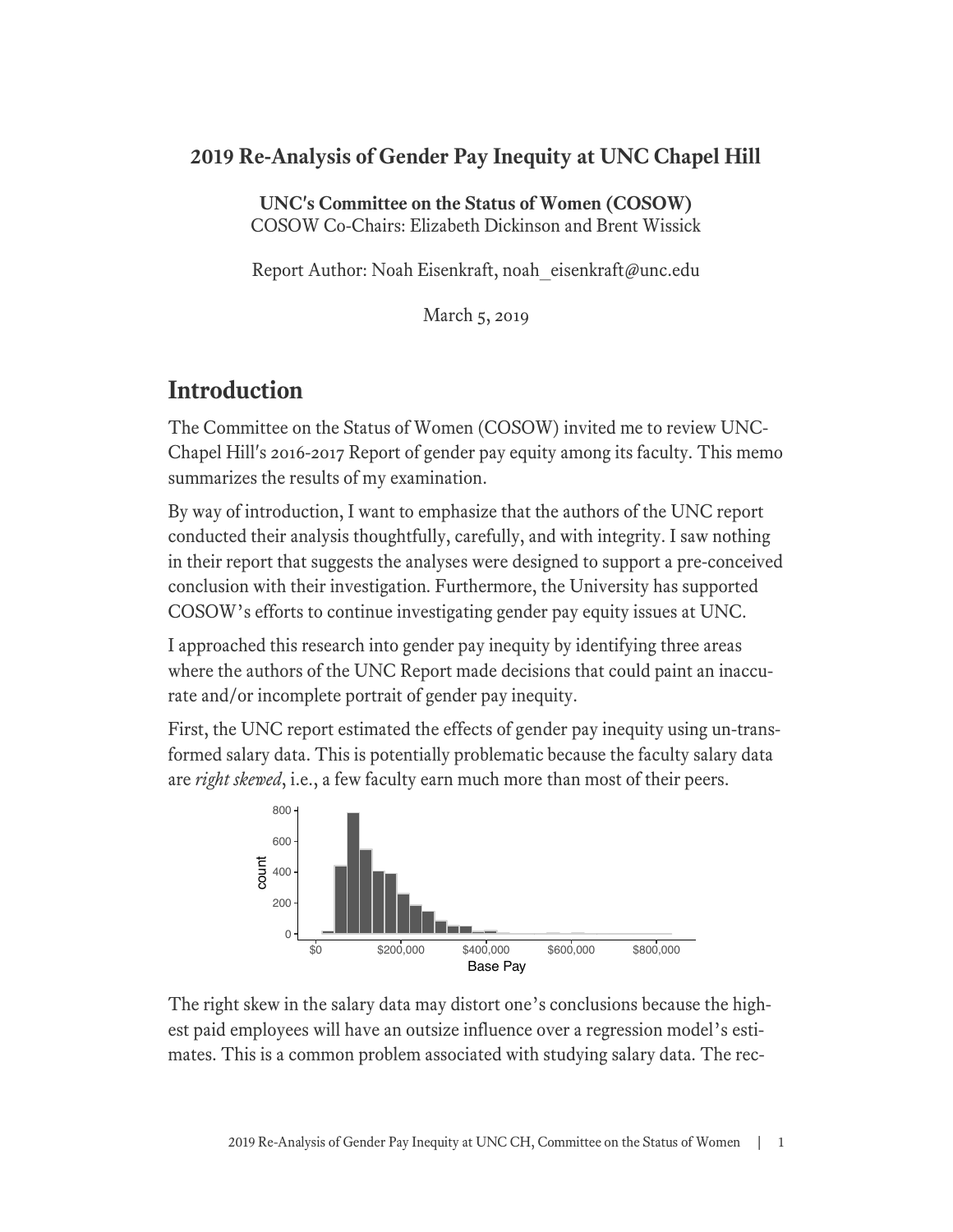### **2019 Re-Analysis of Gender Pay Inequity at UNC Chapel Hill**

**UNC's Committee on the Status of Women (COSOW)** COSOW Co-Chairs: Elizabeth Dickinson and Brent Wissick

Report Author: Noah Eisenkraft, noah eisenkraft@unc.edu

March 5, 2019

## **Introduction**

The Committee on the Status of Women (COSOW) invited me to review UNC-Chapel Hill's 2016-2017 Report of gender pay equity among its faculty. This memo summarizes the results of my examination.

By way of introduction, I want to emphasize that the authors of the UNC report conducted their analysis thoughtfully, carefully, and with integrity. I saw nothing in their report that suggests the analyses were designed to support a pre-conceived conclusion with their investigation. Furthermore, the University has supported COSOW's efforts to continue investigating gender pay equity issues at UNC.

I approached this research into gender pay inequity by identifying three areas where the authors of the UNC Report made decisions that could paint an inaccurate and/or incomplete portrait of gender pay inequity.

First, the UNC report estimated the effects of gender pay inequity using un-transformed salary data. This is potentially problematic because the faculty salary data are *right skewed*, i.e., a few faculty earn much more than most of their peers.



The right skew in the salary data may distort one's conclusions because the highest paid employees will have an outsize influence over a regression model's estimates. This is a common problem associated with studying salary data. The rec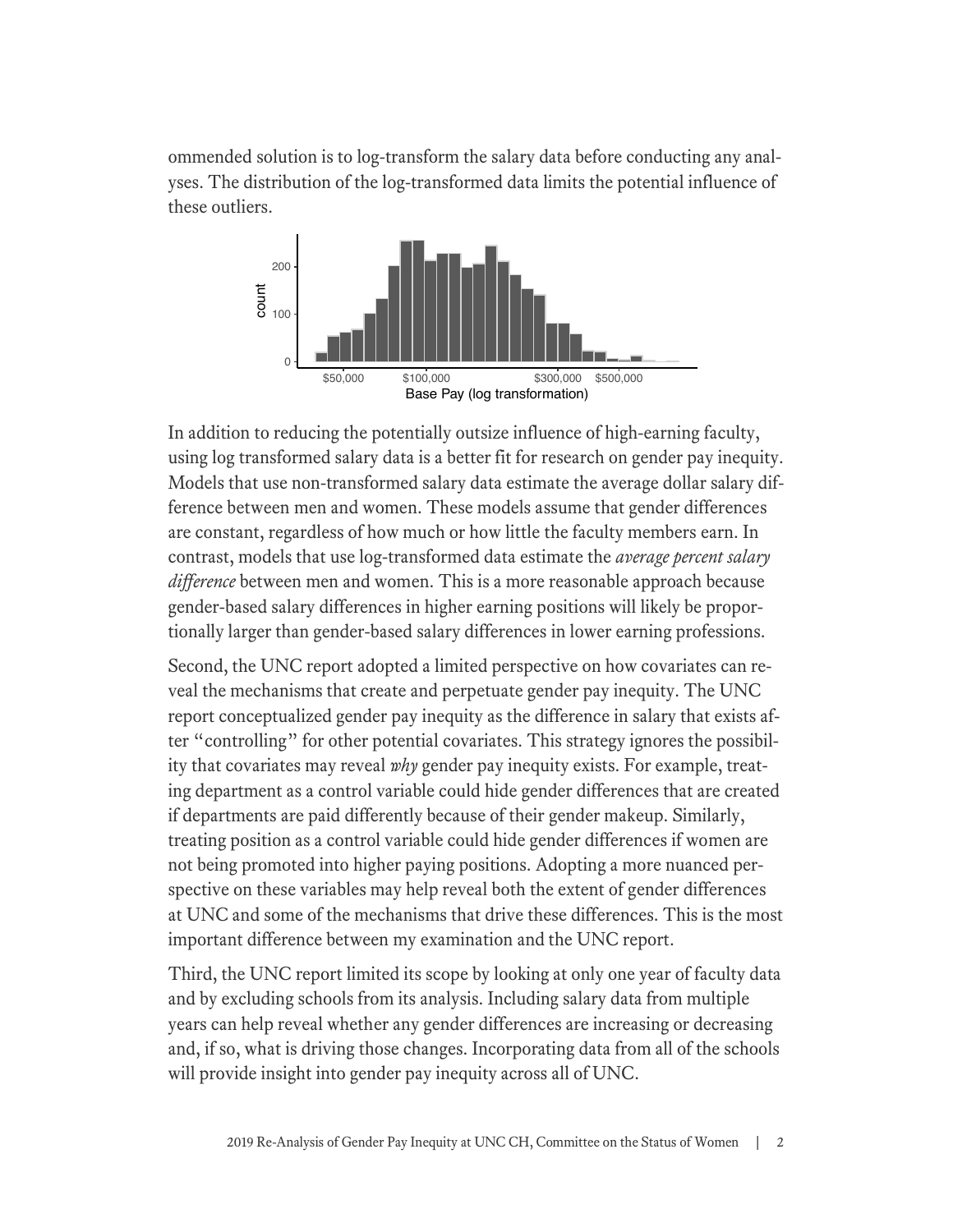ommended solution is to log-transform the salary data before conducting any analyses. The distribution of the log-transformed data limits the potential influence of these outliers.



In addition to reducing the potentially outsize influence of high-earning faculty, using log transformed salary data is a better fit for research on gender pay inequity. Models that use non-transformed salary data estimate the average dollar salary difference between men and women. These models assume that gender differences are constant, regardless of how much or how little the faculty members earn. In contrast, models that use log-transformed data estimate the *average percent salary difference* between men and women. This is a more reasonable approach because gender-based salary differences in higher earning positions will likely be proportionally larger than gender-based salary differences in lower earning professions.

Second, the UNC report adopted a limited perspective on how covariates can reveal the mechanisms that create and perpetuate gender pay inequity. The UNC report conceptualized gender pay inequity as the difference in salary that exists after "controlling" for other potential covariates. This strategy ignores the possibility that covariates may reveal *why* gender pay inequity exists. For example, treating department as a control variable could hide gender differences that are created if departments are paid differently because of their gender makeup. Similarly, treating position as a control variable could hide gender differences if women are not being promoted into higher paying positions. Adopting a more nuanced perspective on these variables may help reveal both the extent of gender differences at UNC and some of the mechanisms that drive these differences. This is the most important difference between my examination and the UNC report.

Third, the UNC report limited its scope by looking at only one year of faculty data and by excluding schools from its analysis. Including salary data from multiple years can help reveal whether any gender differences are increasing or decreasing and, if so, what is driving those changes. Incorporating data from all of the schools will provide insight into gender pay inequity across all of UNC.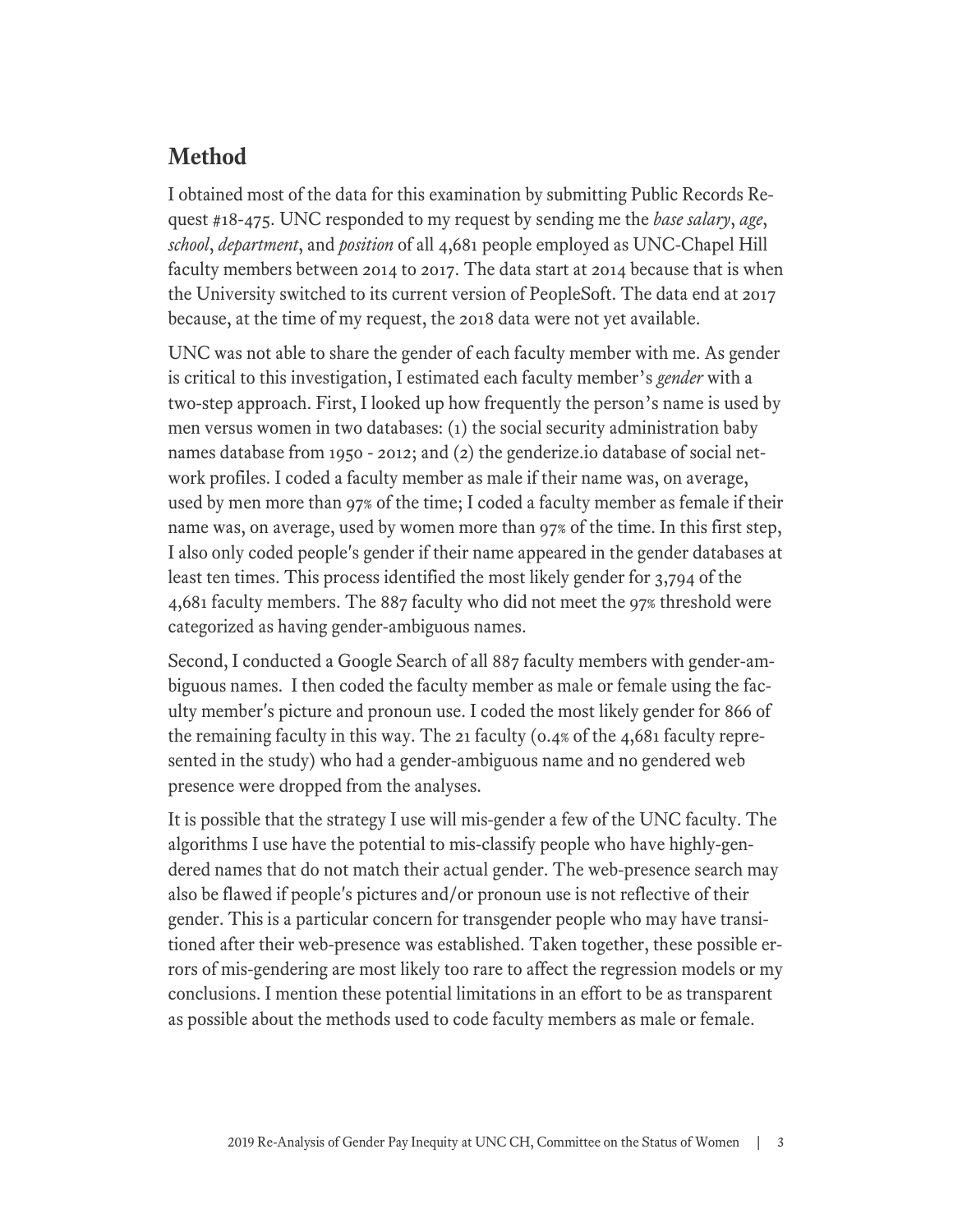### **Method**

I obtained most of the data for this examination by submitting Public Records Request #18-475. UNC responded to my request by sending me the *base salary*, *age*, *school*, *department*, and *position* of all 4,681 people employed as UNC-Chapel Hill faculty members between 2014 to 2017. The data start at 2014 because that is when the University switched to its current version of PeopleSoft. The data end at 2017 because, at the time of my request, the 2018 data were not yet available.

UNC was not able to share the gender of each faculty member with me. As gender is critical to this investigation, I estimated each faculty member's *gender* with a two-step approach. First, I looked up how frequently the person's name is used by men versus women in two databases: (1) the social security administration baby names database from 1950 - 2012; and (2) the genderize.io database of social network profiles. I coded a faculty member as male if their name was, on average, used by men more than 97% of the time; I coded a faculty member as female if their name was, on average, used by women more than 97% of the time. In this first step, I also only coded people's gender if their name appeared in the gender databases at least ten times. This process identified the most likely gender for 3,794 of the 4,681 faculty members. The 887 faculty who did not meet the 97% threshold were categorized as having gender-ambiguous names.

Second, I conducted a Google Search of all 887 faculty members with gender-ambiguous names. I then coded the faculty member as male or female using the faculty member's picture and pronoun use. I coded the most likely gender for 866 of the remaining faculty in this way. The 21 faculty (0.4% of the 4,681 faculty represented in the study) who had a gender-ambiguous name and no gendered web presence were dropped from the analyses.

It is possible that the strategy I use will mis-gender a few of the UNC faculty. The algorithms I use have the potential to mis-classify people who have highly-gendered names that do not match their actual gender. The web-presence search may also be flawed if people's pictures and/or pronoun use is not reflective of their gender. This is a particular concern for transgender people who may have transitioned after their web-presence was established. Taken together, these possible errors of mis-gendering are most likely too rare to affect the regression models or my conclusions. I mention these potential limitations in an effort to be as transparent as possible about the methods used to code faculty members as male or female.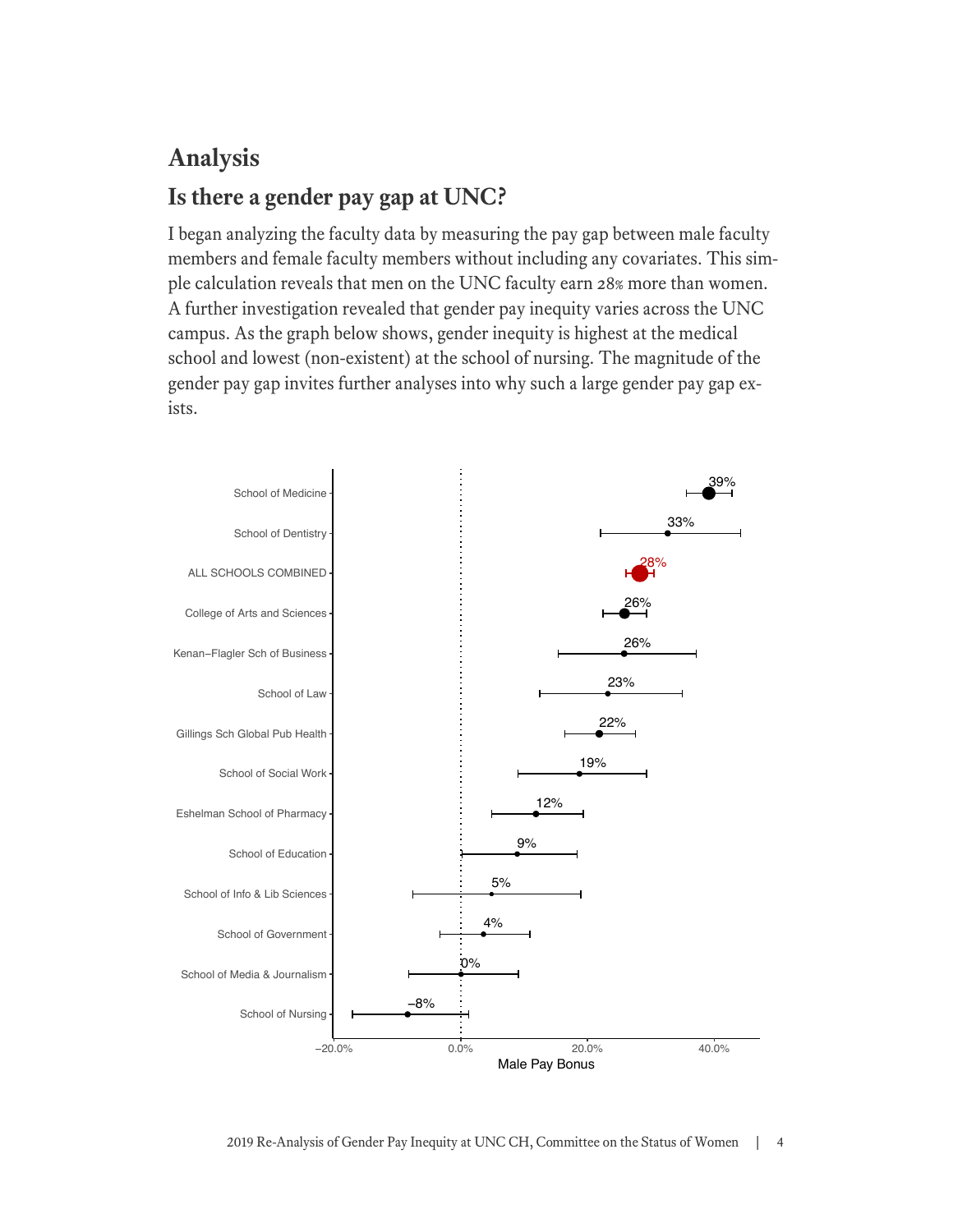# **Analysis Is there a gender pay gap at UNC?**

I began analyzing the faculty data by measuring the pay gap between male faculty members and female faculty members without including any covariates. This simple calculation reveals that men on the UNC faculty earn 28% more than women. A further investigation revealed that gender pay inequity varies across the UNC campus. As the graph below shows, gender inequity is highest at the medical school and lowest (non-existent) at the school of nursing. The magnitude of the gender pay gap invites further analyses into why such a large gender pay gap exists.

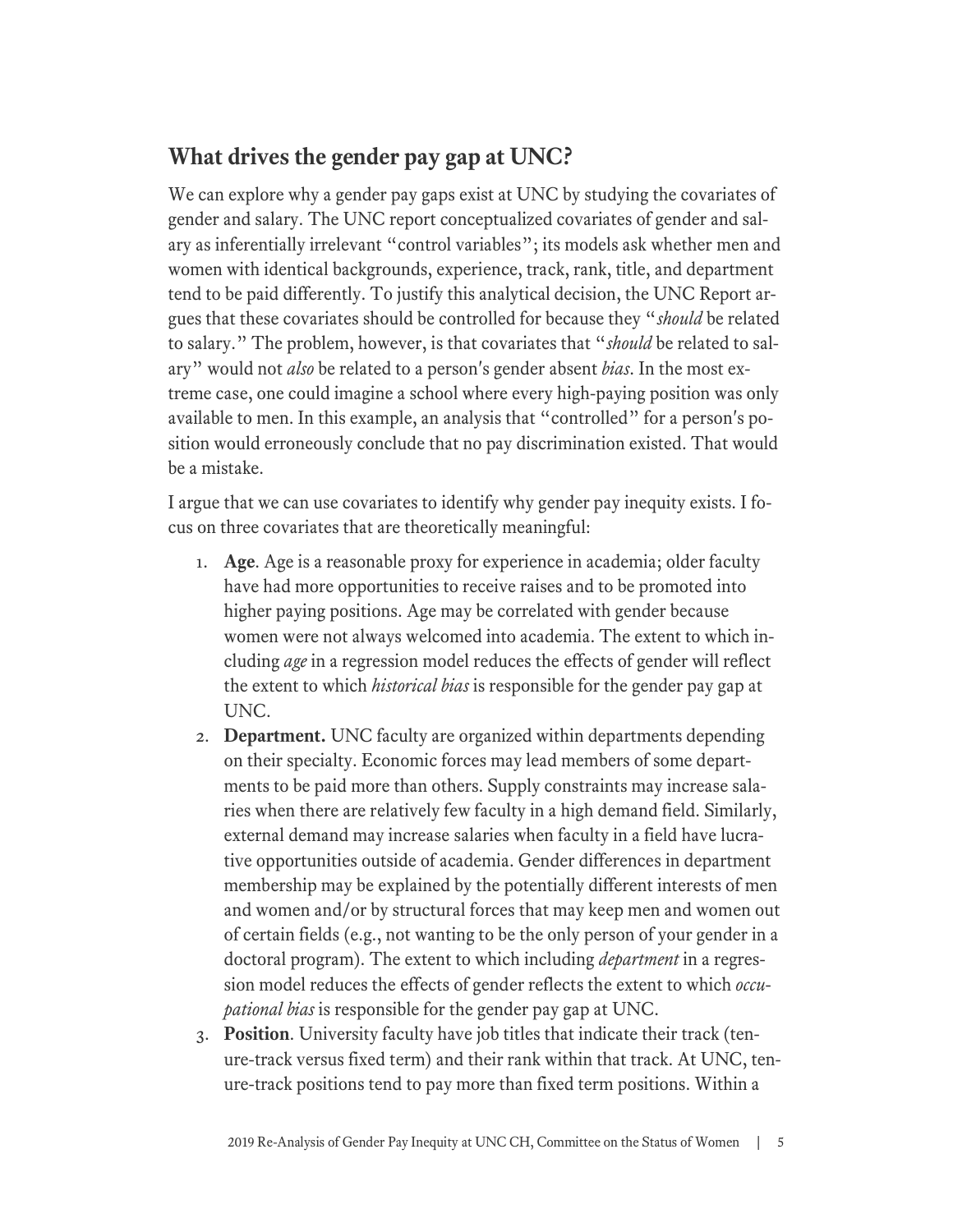## **What drives the gender pay gap at UNC?**

We can explore why a gender pay gaps exist at UNC by studying the covariates of gender and salary. The UNC report conceptualized covariates of gender and salary as inferentially irrelevant "control variables"; its models ask whether men and women with identical backgrounds, experience, track, rank, title, and department tend to be paid differently. To justify this analytical decision, the UNC Report argues that these covariates should be controlled for because they "*should* be related to salary." The problem, however, is that covariates that "*should* be related to salary" would not *also* be related to a person's gender absent *bias*. In the most extreme case, one could imagine a school where every high-paying position was only available to men. In this example, an analysis that "controlled" for a person's position would erroneously conclude that no pay discrimination existed. That would be a mistake.

I argue that we can use covariates to identify why gender pay inequity exists. I focus on three covariates that are theoretically meaningful:

- 1. **Age**. Age is a reasonable proxy for experience in academia; older faculty have had more opportunities to receive raises and to be promoted into higher paying positions. Age may be correlated with gender because women were not always welcomed into academia. The extent to which including *age* in a regression model reduces the effects of gender will reflect the extent to which *historical bias* is responsible for the gender pay gap at UNC.
- 2. **Department.** UNC faculty are organized within departments depending on their specialty. Economic forces may lead members of some departments to be paid more than others. Supply constraints may increase salaries when there are relatively few faculty in a high demand field. Similarly, external demand may increase salaries when faculty in a field have lucrative opportunities outside of academia. Gender differences in department membership may be explained by the potentially different interests of men and women and/or by structural forces that may keep men and women out of certain fields (e.g., not wanting to be the only person of your gender in a doctoral program). The extent to which including *department* in a regression model reduces the effects of gender reflects the extent to which *occupational bias* is responsible for the gender pay gap at UNC.
- 3. **Position**. University faculty have job titles that indicate their track (tenure-track versus fixed term) and their rank within that track. At UNC, tenure-track positions tend to pay more than fixed term positions. Within a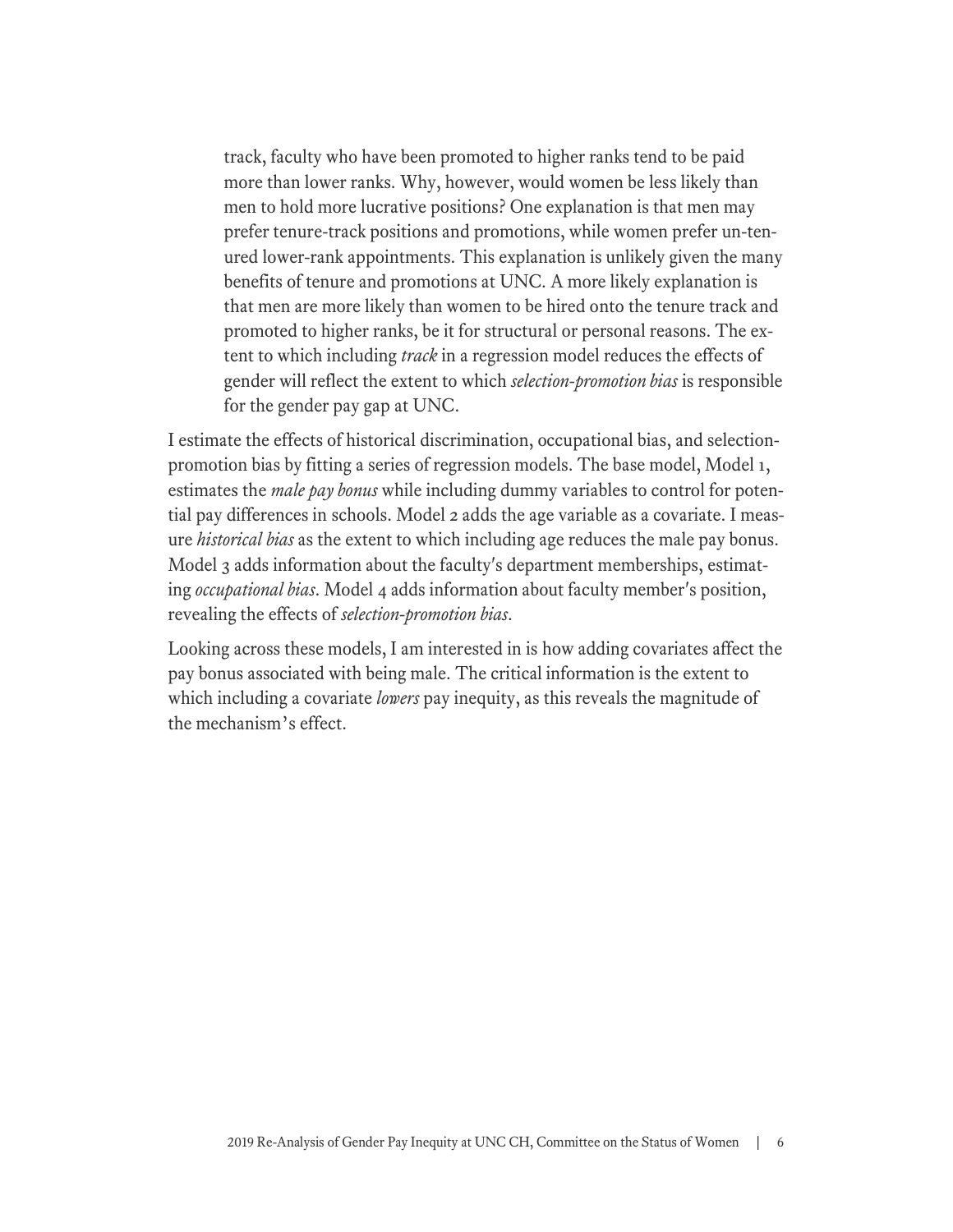track, faculty who have been promoted to higher ranks tend to be paid more than lower ranks. Why, however, would women be less likely than men to hold more lucrative positions? One explanation is that men may prefer tenure-track positions and promotions, while women prefer un-tenured lower-rank appointments. This explanation is unlikely given the many benefits of tenure and promotions at UNC. A more likely explanation is that men are more likely than women to be hired onto the tenure track and promoted to higher ranks, be it for structural or personal reasons. The extent to which including *track* in a regression model reduces the effects of gender will reflect the extent to which *selection-promotion bias* is responsible for the gender pay gap at UNC.

I estimate the effects of historical discrimination, occupational bias, and selectionpromotion bias by fitting a series of regression models. The base model, Model 1, estimates the *male pay bonus* while including dummy variables to control for potential pay differences in schools. Model 2 adds the age variable as a covariate. I measure *historical bias* as the extent to which including age reduces the male pay bonus. Model 3 adds information about the faculty's department memberships, estimating *occupational bias*. Model 4 adds information about faculty member's position, revealing the effects of *selection-promotion bias*.

Looking across these models, I am interested in is how adding covariates affect the pay bonus associated with being male. The critical information is the extent to which including a covariate *lowers* pay inequity, as this reveals the magnitude of the mechanism's effect.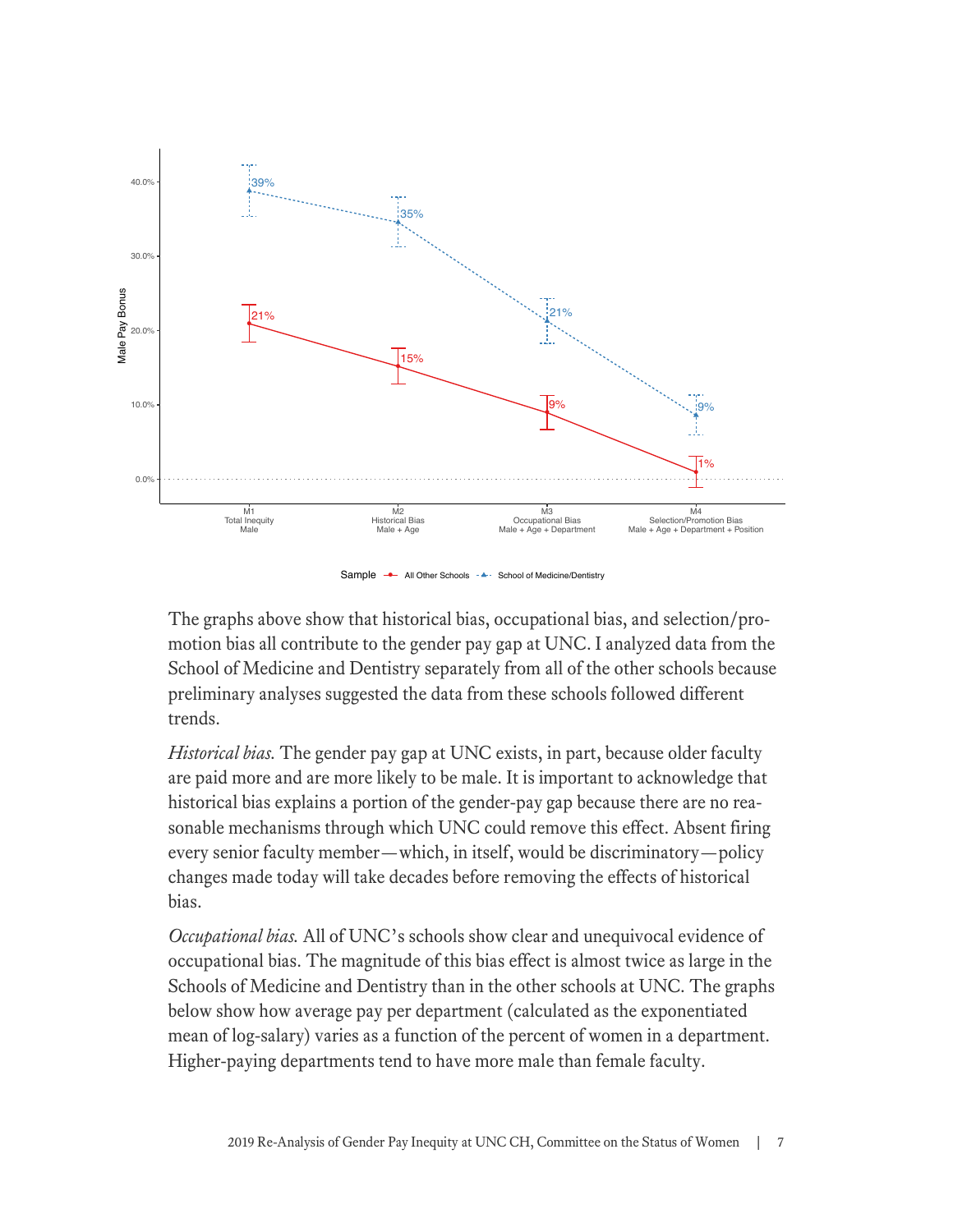

Sample → All Other Schools - → School of Medicine/Dentistry

The graphs above show that historical bias, occupational bias, and selection/promotion bias all contribute to the gender pay gap at UNC. I analyzed data from the School of Medicine and Dentistry separately from all of the other schools because preliminary analyses suggested the data from these schools followed different trends.

*Historical bias.* The gender pay gap at UNC exists, in part, because older faculty are paid more and are more likely to be male. It is important to acknowledge that historical bias explains a portion of the gender-pay gap because there are no reasonable mechanisms through which UNC could remove this effect. Absent firing every senior faculty member—which, in itself, would be discriminatory—policy changes made today will take decades before removing the effects of historical bias.

*Occupational bias.* All of UNC's schools show clear and unequivocal evidence of occupational bias. The magnitude of this bias effect is almost twice as large in the Schools of Medicine and Dentistry than in the other schools at UNC. The graphs below show how average pay per department (calculated as the exponentiated mean of log-salary) varies as a function of the percent of women in a department. Higher-paying departments tend to have more male than female faculty.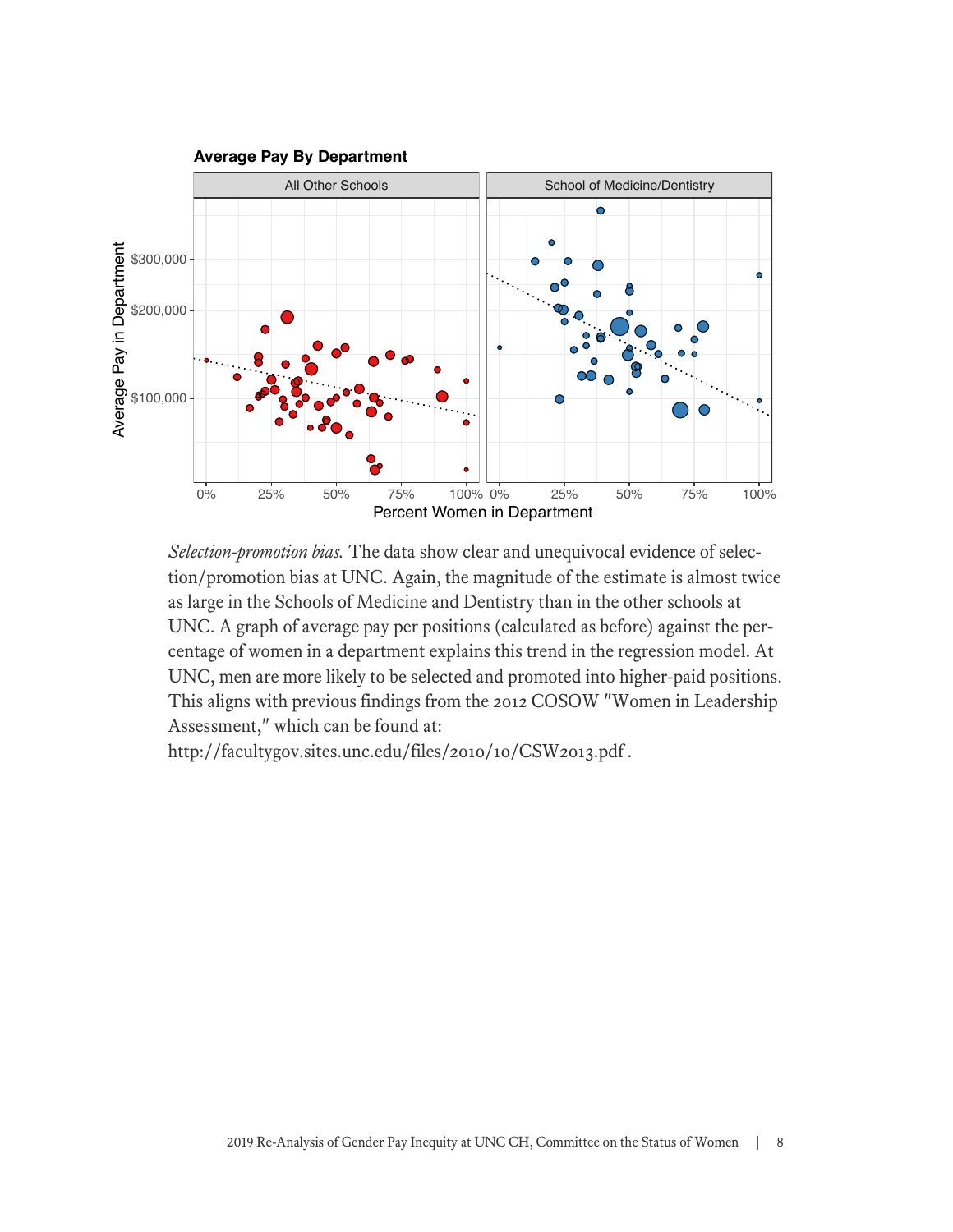

*Selection-promotion bias.* The data show clear and unequivocal evidence of selection/promotion bias at UNC. Again, the magnitude of the estimate is almost twice as large in the Schools of Medicine and Dentistry than in the other schools at UNC. A graph of average pay per positions (calculated as before) against the percentage of women in a department explains this trend in the regression model. At UNC, men are more likely to be selected and promoted into higher-paid positions. This aligns with previous findings from the 2012 COSOW "Women in Leadership Assessment," which can be found at:

http://facultygov.sites.unc.edu/files/2010/10/CSW2013.pdf .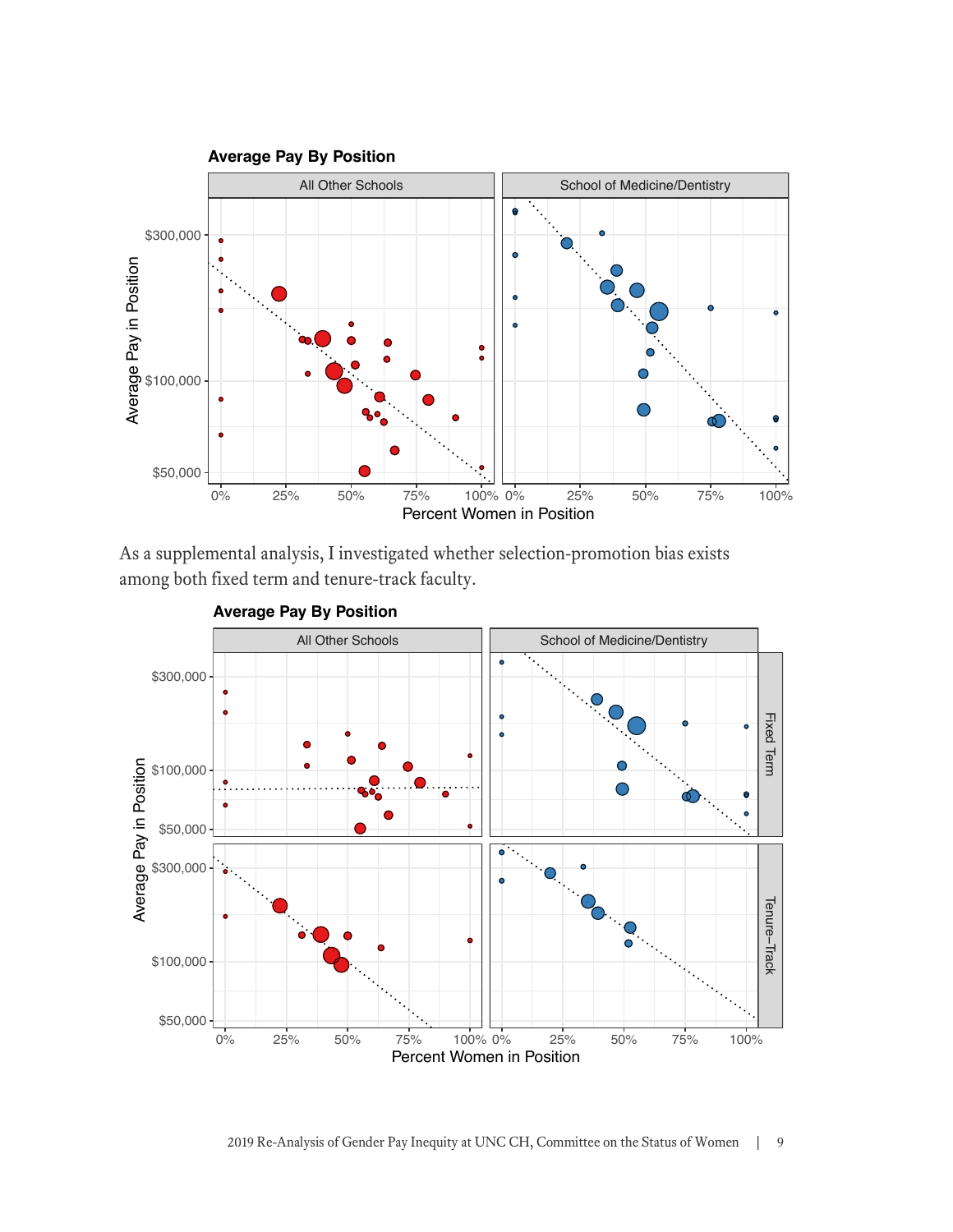

As a supplemental analysis, I investigated whether selection-promotion bias exists among both fixed term and tenure-track faculty.



**Average Pay By Position**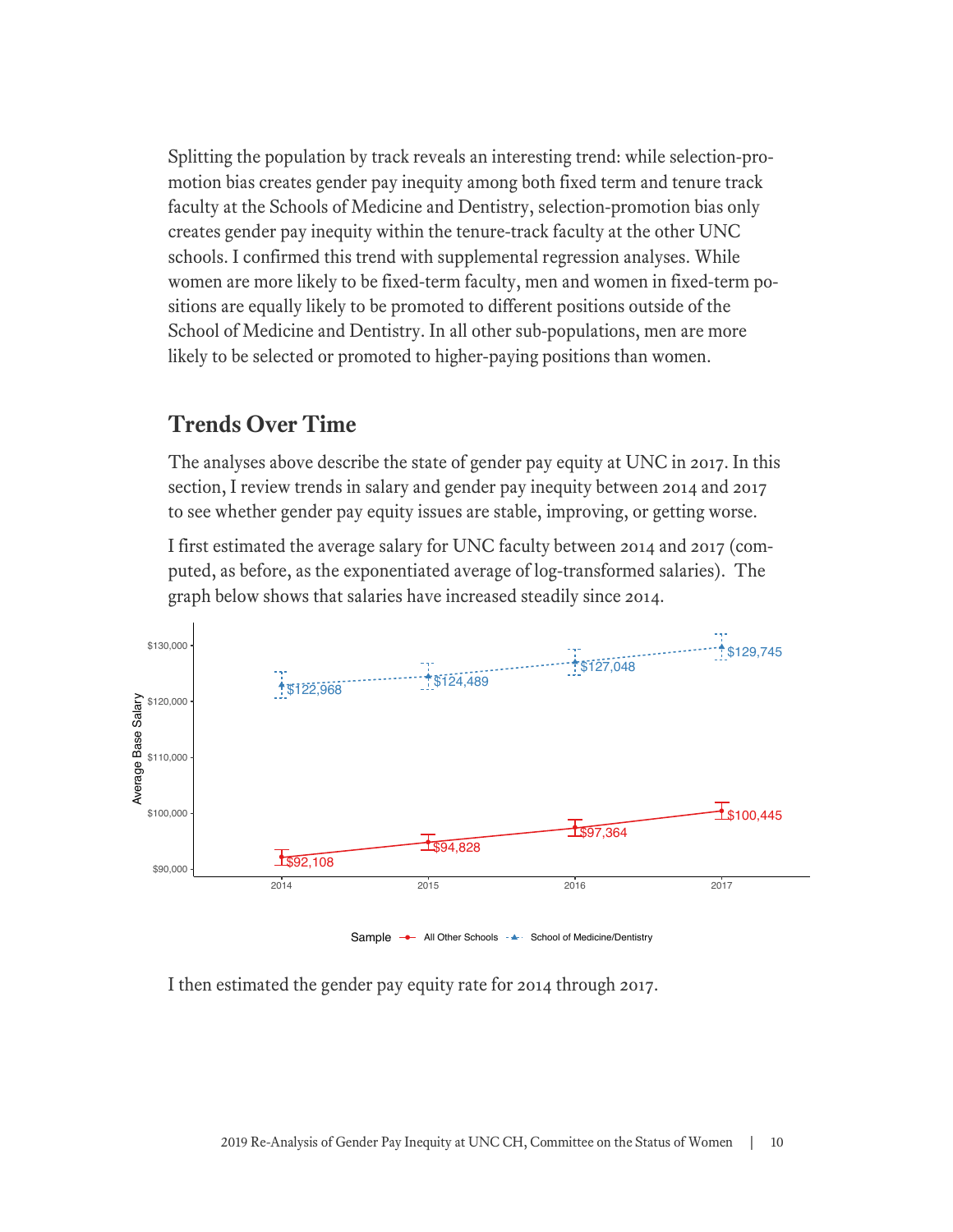Splitting the population by track reveals an interesting trend: while selection-promotion bias creates gender pay inequity among both fixed term and tenure track faculty at the Schools of Medicine and Dentistry, selection-promotion bias only creates gender pay inequity within the tenure-track faculty at the other UNC schools. I confirmed this trend with supplemental regression analyses. While women are more likely to be fixed-term faculty, men and women in fixed-term positions are equally likely to be promoted to different positions outside of the School of Medicine and Dentistry. In all other sub-populations, men are more likely to be selected or promoted to higher-paying positions than women.

#### **Trends Over Time**

The analyses above describe the state of gender pay equity at UNC in 2017. In this section, I review trends in salary and gender pay inequity between 2014 and 2017 to see whether gender pay equity issues are stable, improving, or getting worse.

I first estimated the average salary for UNC faculty between 2014 and 2017 (computed, as before, as the exponentiated average of log-transformed salaries). The graph below shows that salaries have increased steadily since 2014.



I then estimated the gender pay equity rate for 2014 through 2017.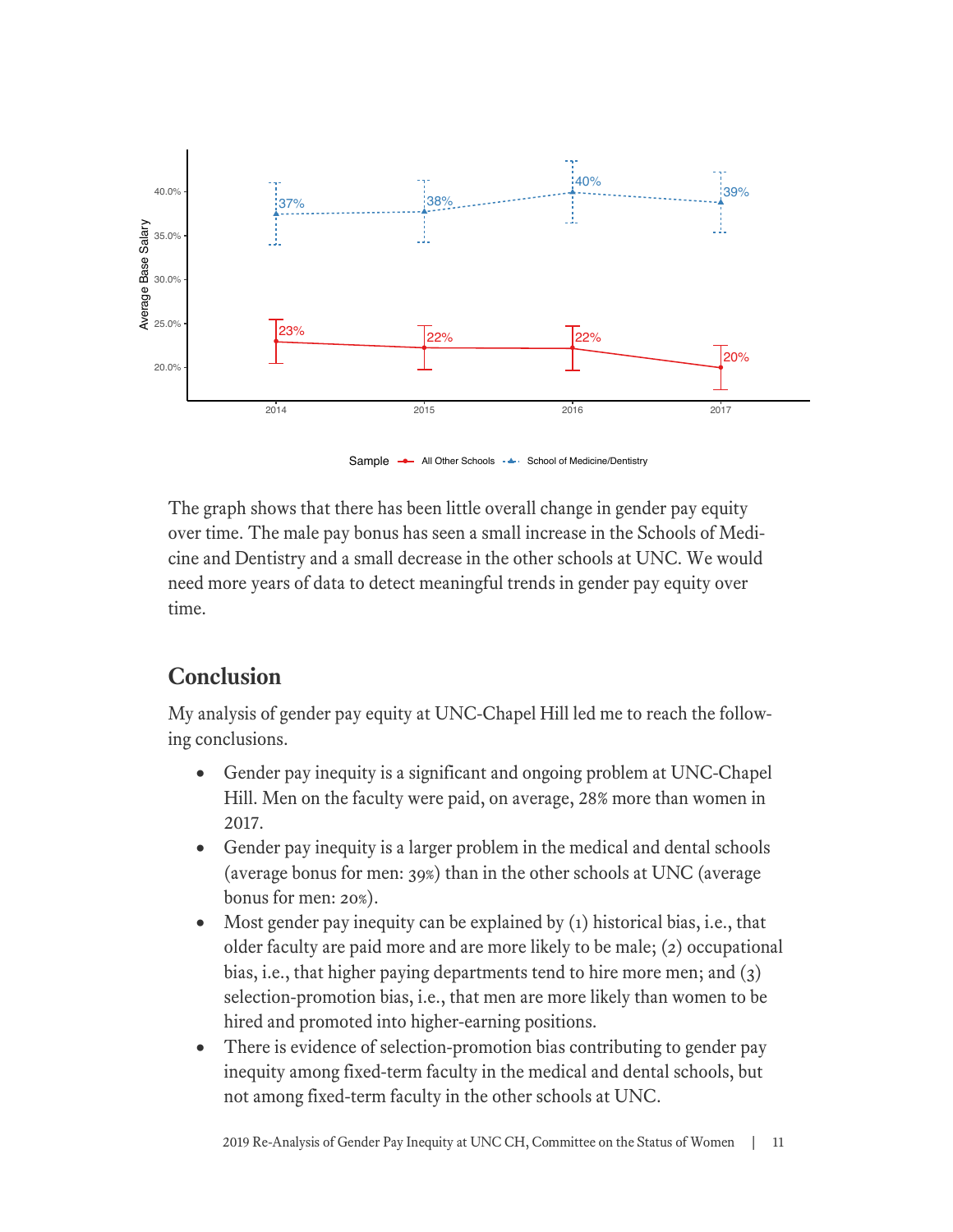

Sample → All Other Schools - ← School of Medicine/Dentistry

The graph shows that there has been little overall change in gender pay equity over time. The male pay bonus has seen a small increase in the Schools of Medicine and Dentistry and a small decrease in the other schools at UNC. We would need more years of data to detect meaningful trends in gender pay equity over time.

## **Conclusion**

My analysis of gender pay equity at UNC-Chapel Hill led me to reach the following conclusions.

- Gender pay inequity is a significant and ongoing problem at UNC-Chapel Hill. Men on the faculty were paid, on average, 28% more than women in 2017.
- Gender pay inequity is a larger problem in the medical and dental schools (average bonus for men: 39%) than in the other schools at UNC (average bonus for men: 20%).
- Most gender pay inequity can be explained by (1) historical bias, i.e., that older faculty are paid more and are more likely to be male; (2) occupational bias, i.e., that higher paying departments tend to hire more men; and (3) selection-promotion bias, i.e., that men are more likely than women to be hired and promoted into higher-earning positions.
- There is evidence of selection-promotion bias contributing to gender pay inequity among fixed-term faculty in the medical and dental schools, but not among fixed-term faculty in the other schools at UNC.